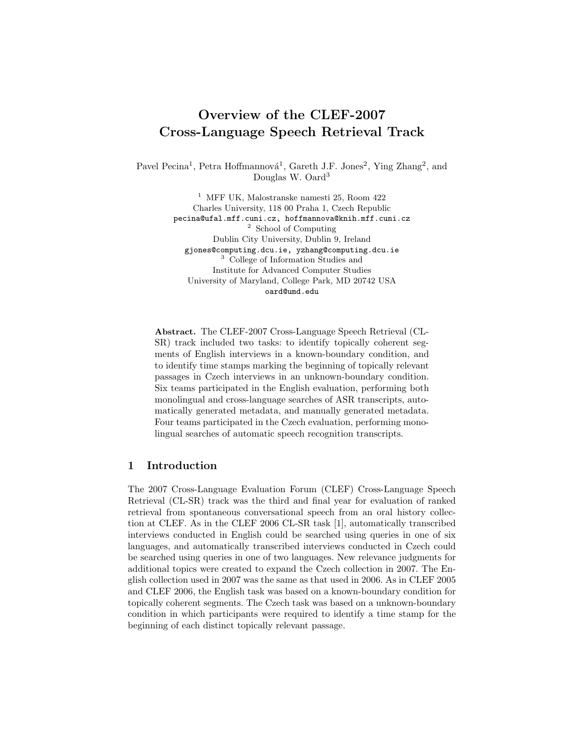# Overview of the CLEF-2007 Cross-Language Speech Retrieval Track

Pavel Pecina<sup>1</sup>, Petra Hoffmannová<sup>1</sup>, Gareth J.F. Jones<sup>2</sup>, Ying Zhang<sup>2</sup>, and Douglas W. Oard<sup>3</sup>

> <sup>1</sup> MFF UK, Malostranske namesti 25, Room 422 Charles University, 118 00 Praha 1, Czech Republic pecina@ufal.mff.cuni.cz, hoffmannova@knih.mff.cuni.cz <sup>2</sup> School of Computing Dublin City University, Dublin 9, Ireland gjones@computing.dcu.ie, yzhang@computing.dcu.ie <sup>3</sup> College of Information Studies and Institute for Advanced Computer Studies University of Maryland, College Park, MD 20742 USA oard@umd.edu

Abstract. The CLEF-2007 Cross-Language Speech Retrieval (CL-SR) track included two tasks: to identify topically coherent segments of English interviews in a known-boundary condition, and to identify time stamps marking the beginning of topically relevant passages in Czech interviews in an unknown-boundary condition. Six teams participated in the English evaluation, performing both monolingual and cross-language searches of ASR transcripts, automatically generated metadata, and manually generated metadata. Four teams participated in the Czech evaluation, performing monolingual searches of automatic speech recognition transcripts.

# 1 Introduction

The 2007 Cross-Language Evaluation Forum (CLEF) Cross-Language Speech Retrieval (CL-SR) track was the third and final year for evaluation of ranked retrieval from spontaneous conversational speech from an oral history collection at CLEF. As in the CLEF 2006 CL-SR task [1], automatically transcribed interviews conducted in English could be searched using queries in one of six languages, and automatically transcribed interviews conducted in Czech could be searched using queries in one of two languages. New relevance judgments for additional topics were created to expand the Czech collection in 2007. The English collection used in 2007 was the same as that used in 2006. As in CLEF 2005 and CLEF 2006, the English task was based on a known-boundary condition for topically coherent segments. The Czech task was based on a unknown-boundary condition in which participants were required to identify a time stamp for the beginning of each distinct topically relevant passage.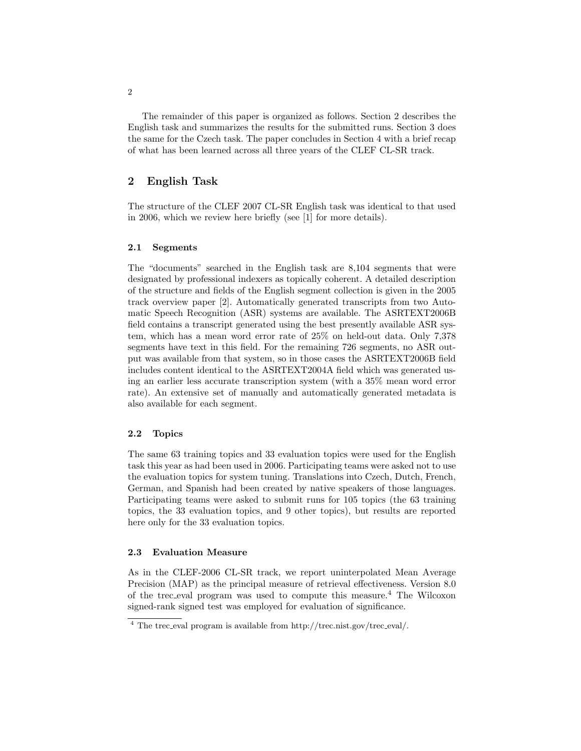The remainder of this paper is organized as follows. Section 2 describes the English task and summarizes the results for the submitted runs. Section 3 does the same for the Czech task. The paper concludes in Section 4 with a brief recap of what has been learned across all three years of the CLEF CL-SR track.

# 2 English Task

The structure of the CLEF 2007 CL-SR English task was identical to that used in 2006, which we review here briefly (see [1] for more details).

#### 2.1 Segments

The "documents" searched in the English task are 8,104 segments that were designated by professional indexers as topically coherent. A detailed description of the structure and fields of the English segment collection is given in the 2005 track overview paper [2]. Automatically generated transcripts from two Automatic Speech Recognition (ASR) systems are available. The ASRTEXT2006B field contains a transcript generated using the best presently available ASR system, which has a mean word error rate of 25% on held-out data. Only 7,378 segments have text in this field. For the remaining 726 segments, no ASR output was available from that system, so in those cases the ASRTEXT2006B field includes content identical to the ASRTEXT2004A field which was generated using an earlier less accurate transcription system (with a 35% mean word error rate). An extensive set of manually and automatically generated metadata is also available for each segment.

## 2.2 Topics

The same 63 training topics and 33 evaluation topics were used for the English task this year as had been used in 2006. Participating teams were asked not to use the evaluation topics for system tuning. Translations into Czech, Dutch, French, German, and Spanish had been created by native speakers of those languages. Participating teams were asked to submit runs for 105 topics (the 63 training topics, the 33 evaluation topics, and 9 other topics), but results are reported here only for the 33 evaluation topics.

#### 2.3 Evaluation Measure

As in the CLEF-2006 CL-SR track, we report uninterpolated Mean Average Precision (MAP) as the principal measure of retrieval effectiveness. Version 8.0 of the trec eval program was used to compute this measure.<sup>4</sup> The Wilcoxon signed-rank signed test was employed for evaluation of significance.

<sup>4</sup> The trec eval program is available from http://trec.nist.gov/trec eval/.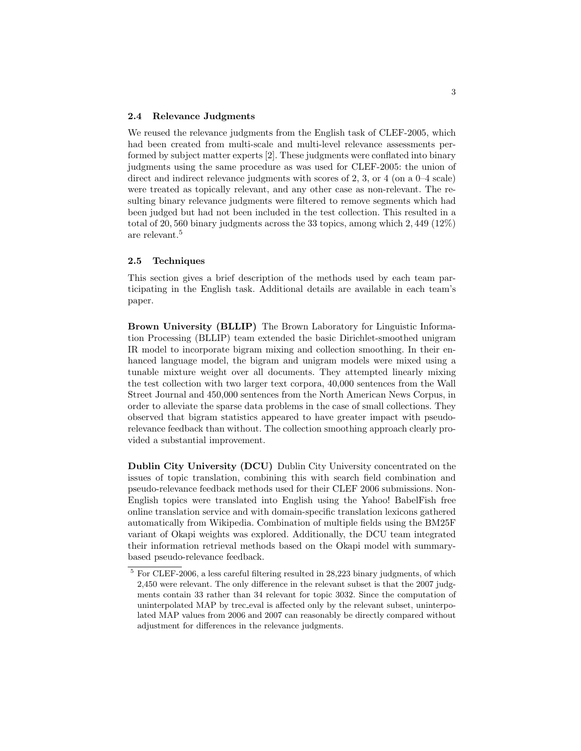#### 2.4 Relevance Judgments

We reused the relevance judgments from the English task of CLEF-2005, which had been created from multi-scale and multi-level relevance assessments performed by subject matter experts [2]. These judgments were conflated into binary judgments using the same procedure as was used for CLEF-2005: the union of direct and indirect relevance judgments with scores of 2, 3, or 4 (on a 0–4 scale) were treated as topically relevant, and any other case as non-relevant. The resulting binary relevance judgments were filtered to remove segments which had been judged but had not been included in the test collection. This resulted in a total of 20, 560 binary judgments across the 33 topics, among which 2, 449 (12%) are relevant.<sup>5</sup>

## 2.5 Techniques

This section gives a brief description of the methods used by each team participating in the English task. Additional details are available in each team's paper.

Brown University (BLLIP) The Brown Laboratory for Linguistic Information Processing (BLLIP) team extended the basic Dirichlet-smoothed unigram IR model to incorporate bigram mixing and collection smoothing. In their enhanced language model, the bigram and unigram models were mixed using a tunable mixture weight over all documents. They attempted linearly mixing the test collection with two larger text corpora, 40,000 sentences from the Wall Street Journal and 450,000 sentences from the North American News Corpus, in order to alleviate the sparse data problems in the case of small collections. They observed that bigram statistics appeared to have greater impact with pseudorelevance feedback than without. The collection smoothing approach clearly provided a substantial improvement.

Dublin City University (DCU) Dublin City University concentrated on the issues of topic translation, combining this with search field combination and pseudo-relevance feedback methods used for their CLEF 2006 submissions. Non-English topics were translated into English using the Yahoo! BabelFish free online translation service and with domain-specific translation lexicons gathered automatically from Wikipedia. Combination of multiple fields using the BM25F variant of Okapi weights was explored. Additionally, the DCU team integrated their information retrieval methods based on the Okapi model with summarybased pseudo-relevance feedback.

 $5$  For CLEF-2006, a less careful filtering resulted in 28,223 binary judgments, of which 2,450 were relevant. The only difference in the relevant subset is that the 2007 judgments contain 33 rather than 34 relevant for topic 3032. Since the computation of uninterpolated MAP by trec eval is affected only by the relevant subset, uninterpolated MAP values from 2006 and 2007 can reasonably be directly compared without adjustment for differences in the relevance judgments.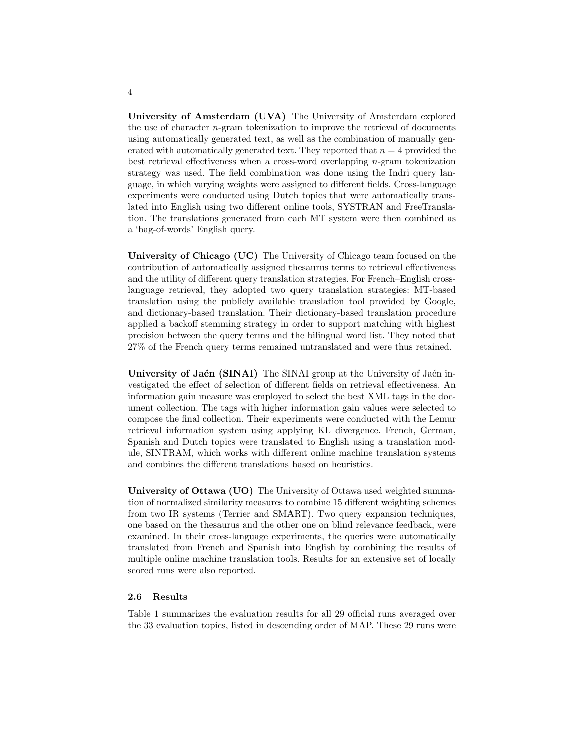University of Amsterdam (UVA) The University of Amsterdam explored the use of character  $n$ -gram tokenization to improve the retrieval of documents using automatically generated text, as well as the combination of manually generated with automatically generated text. They reported that  $n = 4$  provided the best retrieval effectiveness when a cross-word overlapping  $n$ -gram tokenization strategy was used. The field combination was done using the Indri query language, in which varying weights were assigned to different fields. Cross-language experiments were conducted using Dutch topics that were automatically translated into English using two different online tools, SYSTRAN and FreeTranslation. The translations generated from each MT system were then combined as a 'bag-of-words' English query.

University of Chicago (UC) The University of Chicago team focused on the contribution of automatically assigned thesaurus terms to retrieval effectiveness and the utility of different query translation strategies. For French–English crosslanguage retrieval, they adopted two query translation strategies: MT-based translation using the publicly available translation tool provided by Google, and dictionary-based translation. Their dictionary-based translation procedure applied a backoff stemming strategy in order to support matching with highest precision between the query terms and the bilingual word list. They noted that 27% of the French query terms remained untranslated and were thus retained.

University of Jaén (SINAI) The SINAI group at the University of Jaén investigated the effect of selection of different fields on retrieval effectiveness. An information gain measure was employed to select the best XML tags in the document collection. The tags with higher information gain values were selected to compose the final collection. Their experiments were conducted with the Lemur retrieval information system using applying KL divergence. French, German, Spanish and Dutch topics were translated to English using a translation module, SINTRAM, which works with different online machine translation systems and combines the different translations based on heuristics.

University of Ottawa (UO) The University of Ottawa used weighted summation of normalized similarity measures to combine 15 different weighting schemes from two IR systems (Terrier and SMART). Two query expansion techniques, one based on the thesaurus and the other one on blind relevance feedback, were examined. In their cross-language experiments, the queries were automatically translated from French and Spanish into English by combining the results of multiple online machine translation tools. Results for an extensive set of locally scored runs were also reported.

## 2.6 Results

Table 1 summarizes the evaluation results for all 29 official runs averaged over the 33 evaluation topics, listed in descending order of MAP. These 29 runs were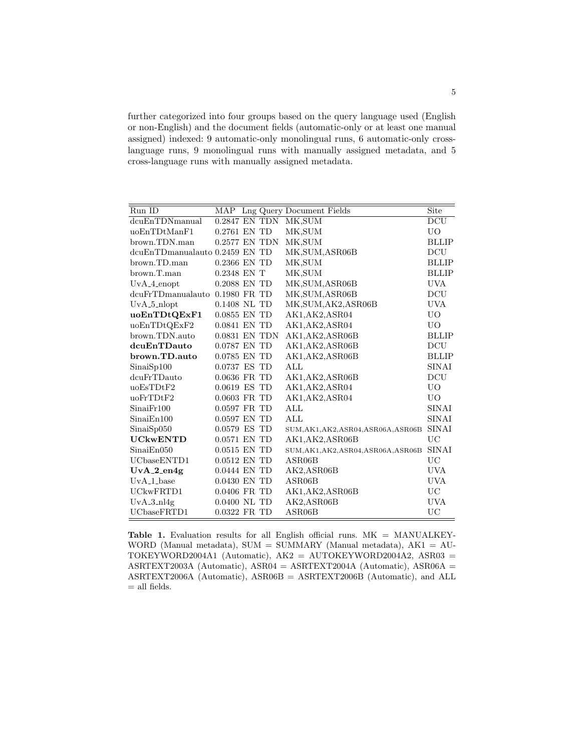further categorized into four groups based on the query language used (English or non-English) and the document fields (automatic-only or at least one manual assigned) indexed: 9 automatic-only monolingual runs, 6 automatic-only crosslanguage runs, 9 monolingual runs with manually assigned metadata, and 5 cross-language runs with manually assigned metadata.

| Run ID                         |                |  |                                      | Site         |
|--------------------------------|----------------|--|--------------------------------------|--------------|
| dcuEnTDNmanual                 | 0.2847 EN TDN  |  | MAP Lng Query Document Fields        |              |
|                                |                |  | MK, SUM                              | DCU          |
| uoEnTDtManF1                   | $0.2761$ EN TD |  | MK, SUM                              | UO.          |
| brown.TDN.man                  | 0.2577 EN TDN  |  | MK, SUM                              | <b>BLLIP</b> |
| dcuEnTDmanualauto 0.2459 EN TD |                |  | MK, SUM, ASR06B                      | DCU          |
| brown.TD.man                   | $0.2366$ EN TD |  | MK, SUM                              | <b>BLLIP</b> |
| brown.T.man                    | $0.2348$ EN T  |  | MK, SUM                              | <b>BLLIP</b> |
| $UvA_4$ <sub>enopt</sub>       | 0.2088 EN TD   |  | MK, SUM, ASR06B                      | <b>UVA</b>   |
| dcuFrTDmanualauto              | 0.1980 FR TD   |  | MK, SUM, ASR06B                      | <b>DCU</b>   |
| $UvA_5_nlop$                   | 0.1408 NL TD   |  | MK, SUM, AK2, ASR06B                 | <b>UVA</b>   |
| uoEnTDtQExF1                   | 0.0855 EN TD   |  | AK1, AK2, ASR04                      | UO.          |
| uoEnTDtQExF2                   | 0.0841 EN TD   |  | AK1,AK2,ASR04                        | UO           |
| brown.TDN.auto                 | 0.0831 EN TDN  |  | AK1,AK2,ASR06B                       | <b>BLLIP</b> |
| dcuEnTDauto                    | 0.0787 EN TD   |  | AK1, AK2, ASR06B                     | <b>DCU</b>   |
| brown.TD.auto                  | $0.0785$ EN TD |  | AK1, AK2, ASR06B                     | <b>BLLIP</b> |
| SinaiSp100                     | 0.0737 ES TD   |  | ALL                                  | <b>SINAI</b> |
| dcuFrTDauto                    | 0.0636 FR TD   |  | AK1, AK2, ASR06B                     | <b>DCU</b>   |
| uoEsTDtF2                      | $0.0619$ ES TD |  | AK1, AK2, ASR04                      | UO.          |
| $u$ oFrTD $tF2$                | 0.0603 FR TD   |  | AK1, AK2, ASR04                      | UO.          |
| SinaiFr100                     | 0.0597 FR TD   |  | ALL                                  | <b>SINAI</b> |
| SinaiEn100                     | 0.0597 EN TD   |  | ALL                                  | <b>SINAI</b> |
| SinaiSp050                     | $0.0579$ ES TD |  | SUM, AK1, AK2, ASR04, ASR06A, ASR06B | <b>SINAI</b> |
| <b>UCkwENTD</b>                | $0.0571$ EN TD |  | AK1, AK2, ASR06B                     | UC           |
| SinaiEn050                     | $0.0515$ EN TD |  | SUM, AK1, AK2, ASR04, ASR06A, ASR06B | <b>SINAI</b> |
| UCbaseENTD1                    | $0.0512$ EN TD |  | ASR06B                               | UC           |
| $UvA_2_{en4g}$                 | $0.0444$ EN TD |  | AK2,ASR06B                           | <b>UVA</b>   |
| $UvA_1$ _base                  | $0.0430$ EN TD |  | ASR06B                               | <b>UVA</b>   |
| UCkwFRTD1                      | 0.0406 FR TD   |  | AK1, AK2, ASR06B                     | UC           |
| $UvA_3_n14g$                   | $0.0400$ NL TD |  | AK2,ASR06B                           | <b>UVA</b>   |
| UCbaseFRTD1                    | 0.0322 FR TD   |  | ASR06B                               | <b>UC</b>    |

Table 1. Evaluation results for all English official runs.  $MK = MANUALKEY-$ WORD (Manual metadata),  $SUM = SUMMARY$  (Manual metadata),  $AK1 = AU$ -TOKEYWORD2004A1 (Automatic),  $AK2 = AUTOKEYWORD2004A2$ ,  $ASR03 =$ ASRTEXT2003A (Automatic), ASR04 = ASRTEXT2004A (Automatic), ASR06A = ASRTEXT2006A (Automatic), ASR06B = ASRTEXT2006B (Automatic), and ALL  $=$  all fields.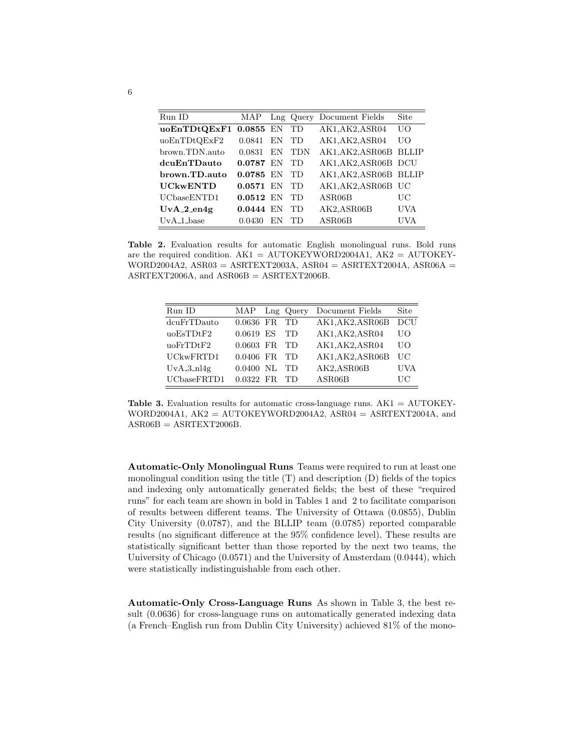| Run ID          | MAP         |    |            | Lng Query Document Fields | Site      |
|-----------------|-------------|----|------------|---------------------------|-----------|
| uoEnTDtQExF1    | 0.0855 EN   |    | <b>TD</b>  | AK1, AK2, ASR04           | <b>UO</b> |
| uoEnTDtQExF2    | 0.0841      | EN | <b>TD</b>  | AK1, AK2, ASR04           | <b>UO</b> |
| brown.TDN.auto  | 0.0831      | EN | <b>TDN</b> | AK1, AK2, ASR06B BLLIP    |           |
| dcuEnTDauto     | $0.0787$ EN |    | TD         | AK1,AK2,ASR06B DCU        |           |
| brown.TD.auto   | $0.0785$ EN |    | <b>TD</b>  | AK1, AK2, ASR06B BLLIP    |           |
| <b>UCkwENTD</b> | 0.0571 EN   |    | <b>TD</b>  | AK1, AK2, ASR06B          | UC        |
| UCbaseENTD1     | $0.0512$ EN |    | <b>TD</b>  | ASRO6B                    | UC        |
| $UvA_2en4g$     | $0.0444$ EN |    | <b>TD</b>  | AK2,ASR06B                | UVA       |
| $UvA_1$ _base   | 0.0430      | ΕN | <b>TD</b>  | ASR06B                    | UVA       |

Table 2. Evaluation results for automatic English monolingual runs. Bold runs are the required condition.  $AK1 = AUTOKEYWORD2004A1$ ,  $AK2 = AUTOKEY-$ WORD2004A2,  $ASR03 = ASRTEXT2003A$ ,  $ASR04 = ASRTEXT2004A$ ,  $ASR06A =$ ASRTEXT2006A, and ASR06B = ASRTEXT2006B.

| Run ID       | MAP Lng Query  |      | Document Fields  | <b>Site</b> |
|--------------|----------------|------|------------------|-------------|
| dcuFrTDauto  | 0.0636 FR TD   |      | AK1, AK2, ASR06B | <b>DCU</b>  |
| uoEsTDtF2    | $0.0619$ ES    | - TD | AK1, AK2, ASR04  | UO          |
| uoFrTDtF2    | 0.0603 FR TD   |      | AK1, AK2, ASR04  | UO          |
| UCkwFRTD1    | 0.0406 FR TD   |      | AK1, AK2, ASR06B | UC          |
| $UvA_3_n14g$ | $0.0400$ NL TD |      | AK2,ASR06B       | <b>UVA</b>  |
| UCbaseFRTD1  | 0.0322 FR TD   |      | ASR06B           | UC          |

**Table 3.** Evaluation results for automatic cross-language runs.  $AK1 = AUTOKEY$ -WORD2004A1,  $AK2 = AUTOKEYWORD2004A2$ ,  $ASR04 = ASRTEXT2004A$ , and  $ASR06B = ASRTEXT2006B.$ 

Automatic-Only Monolingual Runs Teams were required to run at least one monolingual condition using the title (T) and description (D) fields of the topics and indexing only automatically generated fields; the best of these "required runs" for each team are shown in bold in Tables 1 and 2 to facilitate comparison of results between different teams. The University of Ottawa (0.0855), Dublin City University (0.0787), and the BLLIP team (0.0785) reported comparable results (no significant difference at the 95% confidence level). These results are statistically significant better than those reported by the next two teams, the University of Chicago (0.0571) and the University of Amsterdam (0.0444), which were statistically indistinguishable from each other.

Automatic-Only Cross-Language Runs As shown in Table 3, the best result (0.0636) for cross-language runs on automatically generated indexing data (a French–English run from Dublin City University) achieved 81% of the mono-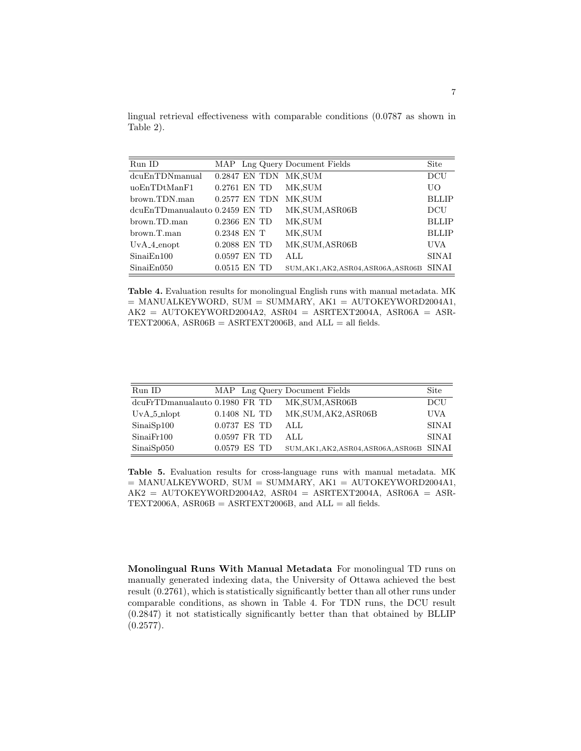lingual retrieval effectiveness with comparable conditions (0.0787 as shown in Table 2).

| Run ID                         |                 |  | MAP Lng Query Document Fields        | Site         |
|--------------------------------|-----------------|--|--------------------------------------|--------------|
| dcuEnTDNmanual                 |                 |  | 0.2847 EN TDN MK,SUM                 | <b>DCU</b>   |
| $u$ o $EnTDtManF1$             | $0.2761$ EN TD  |  | MK,SUM                               | UO.          |
| brown.TDN.man                  | $0.2577$ EN TDN |  | MK,SUM                               | <b>BLLIP</b> |
| dcuEnTDmanualauto 0.2459 EN TD |                 |  | MK, SUM, ASR06B                      | DCU          |
| brown.TD.man                   | 0.2366 EN TD    |  | MK,SUM                               | <b>BLLIP</b> |
| brown.T.man                    | $0.2348$ EN T   |  | MK,SUM                               | <b>BLLIP</b> |
| $UvA_4$ enopt                  | 0.2088 EN TD    |  | MK, SUM, ASR06B                      | UVA          |
| SinaiEn100                     | 0.0597 EN TD    |  | ALL                                  | <b>SINAI</b> |
| SinaiEn050                     | $0.0515$ EN TD  |  | SUM, AK1, AK2, ASR04, ASR06A, ASR06B | <b>SINAI</b> |

Table 4. Evaluation results for monolingual English runs with manual metadata. MK  $=$  MANUALKEYWORD, SUM  $=$  SUMMARY, AK1  $=$  AUTOKEYWORD2004A1,  $AK2 = AUTOKEYWORD2004A2, ASR04 = ASRTEXT2004A, ASR06A = ASR-$ TEXT2006A,  $ASR06B = ASRTEXT2006B$ , and  $ALL = all fields$ .

| Run ID                         |                |  | MAP Lng Query Document Fields              | Site         |
|--------------------------------|----------------|--|--------------------------------------------|--------------|
| dcuFrTDmanualauto 0.1980 FR TD |                |  | MK, SUM, ASR06B                            | DCU          |
| $UvA_5_nlopt$                  | $0.1408$ NL TD |  | MK.SUM, AK2, ASR06B                        | <b>UVA</b>   |
| SinaiSp100                     | 0.0737 ES TD   |  | ALL                                        | <b>SINAI</b> |
| SinaiFr100                     | $0.0597$ FR TD |  | ALL.                                       | <b>SINAI</b> |
| SinaiSp050                     | $0.0579$ ES TD |  | SUM, AK1, AK2, ASR04, ASR06A, ASR06B SINAI |              |

Table 5. Evaluation results for cross-language runs with manual metadata. MK  $=$  MANUALKEYWORD, SUM  $=$  SUMMARY, AK1  $=$  AUTOKEYWORD2004A1,  $AK2 = AUTOKEYWORD2004A2, ASR04 = ASRTEXT2004A, ASR06A = ASR-$ TEXT2006A,  $ASR06B = ASRTEXT2006B$ , and  $ALL = all fields$ .

Monolingual Runs With Manual Metadata For monolingual TD runs on manually generated indexing data, the University of Ottawa achieved the best result (0.2761), which is statistically significantly better than all other runs under comparable conditions, as shown in Table 4. For TDN runs, the DCU result (0.2847) it not statistically significantly better than that obtained by BLLIP  $(0.2577)$ .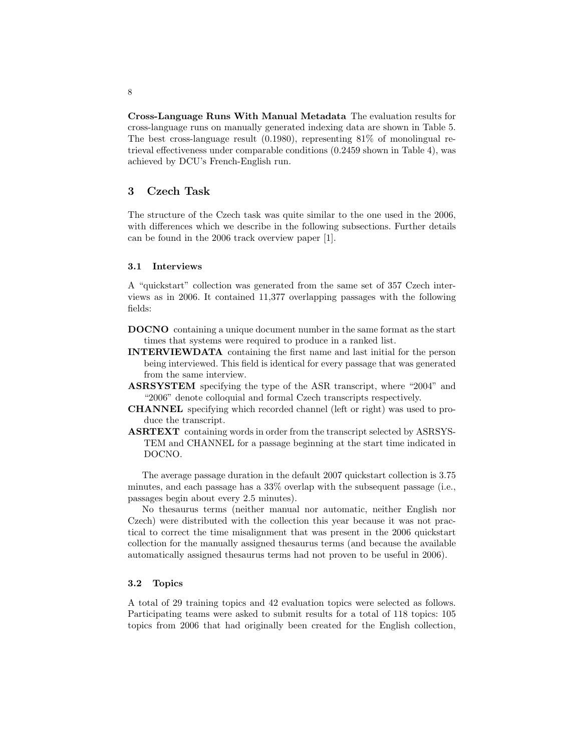Cross-Language Runs With Manual Metadata The evaluation results for cross-language runs on manually generated indexing data are shown in Table 5. The best cross-language result  $(0.1980)$ , representing  $81\%$  of monolingual retrieval effectiveness under comparable conditions (0.2459 shown in Table 4), was achieved by DCU's French-English run.

## 3 Czech Task

The structure of the Czech task was quite similar to the one used in the 2006, with differences which we describe in the following subsections. Further details can be found in the 2006 track overview paper [1].

## 3.1 Interviews

A "quickstart" collection was generated from the same set of 357 Czech interviews as in 2006. It contained 11,377 overlapping passages with the following fields:

- DOCNO containing a unique document number in the same format as the start times that systems were required to produce in a ranked list.
- INTERVIEWDATA containing the first name and last initial for the person being interviewed. This field is identical for every passage that was generated from the same interview.
- ASRSYSTEM specifying the type of the ASR transcript, where "2004" and "2006" denote colloquial and formal Czech transcripts respectively.
- CHANNEL specifying which recorded channel (left or right) was used to produce the transcript.
- ASRTEXT containing words in order from the transcript selected by ASRSYS-TEM and CHANNEL for a passage beginning at the start time indicated in DOCNO.

The average passage duration in the default 2007 quickstart collection is 3.75 minutes, and each passage has a 33% overlap with the subsequent passage (i.e., passages begin about every 2.5 minutes).

No thesaurus terms (neither manual nor automatic, neither English nor Czech) were distributed with the collection this year because it was not practical to correct the time misalignment that was present in the 2006 quickstart collection for the manually assigned thesaurus terms (and because the available automatically assigned thesaurus terms had not proven to be useful in 2006).

## 3.2 Topics

A total of 29 training topics and 42 evaluation topics were selected as follows. Participating teams were asked to submit results for a total of 118 topics: 105 topics from 2006 that had originally been created for the English collection,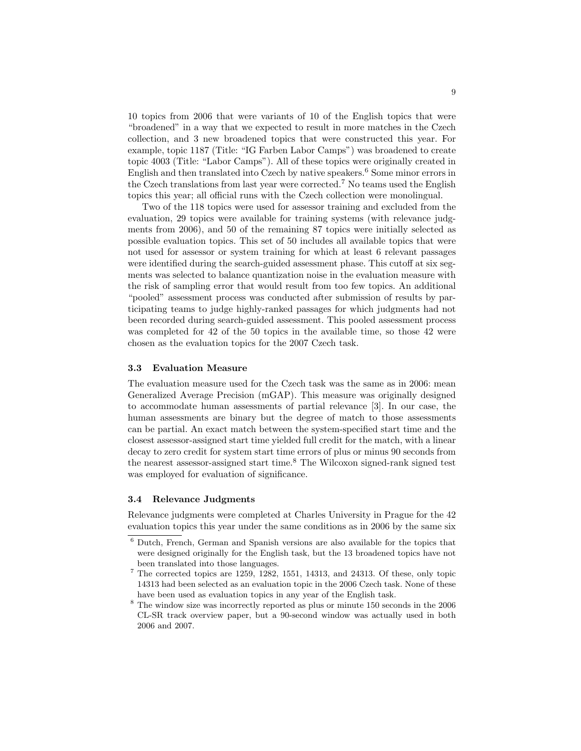10 topics from 2006 that were variants of 10 of the English topics that were "broadened" in a way that we expected to result in more matches in the Czech collection, and 3 new broadened topics that were constructed this year. For example, topic 1187 (Title: "IG Farben Labor Camps") was broadened to create topic 4003 (Title: "Labor Camps"). All of these topics were originally created in English and then translated into Czech by native speakers.<sup>6</sup> Some minor errors in the Czech translations from last year were corrected.<sup>7</sup> No teams used the English topics this year; all official runs with the Czech collection were monolingual.

Two of the 118 topics were used for assessor training and excluded from the evaluation, 29 topics were available for training systems (with relevance judgments from 2006), and 50 of the remaining 87 topics were initially selected as possible evaluation topics. This set of 50 includes all available topics that were not used for assessor or system training for which at least 6 relevant passages were identified during the search-guided assessment phase. This cutoff at six segments was selected to balance quantization noise in the evaluation measure with the risk of sampling error that would result from too few topics. An additional "pooled" assessment process was conducted after submission of results by participating teams to judge highly-ranked passages for which judgments had not been recorded during search-guided assessment. This pooled assessment process was completed for 42 of the 50 topics in the available time, so those 42 were chosen as the evaluation topics for the 2007 Czech task.

#### 3.3 Evaluation Measure

The evaluation measure used for the Czech task was the same as in 2006: mean Generalized Average Precision (mGAP). This measure was originally designed to accommodate human assessments of partial relevance [3]. In our case, the human assessments are binary but the degree of match to those assessments can be partial. An exact match between the system-specified start time and the closest assessor-assigned start time yielded full credit for the match, with a linear decay to zero credit for system start time errors of plus or minus 90 seconds from the nearest assessor-assigned start time.<sup>8</sup> The Wilcoxon signed-rank signed test was employed for evaluation of significance.

#### 3.4 Relevance Judgments

Relevance judgments were completed at Charles University in Prague for the 42 evaluation topics this year under the same conditions as in 2006 by the same six

- <sup>7</sup> The corrected topics are 1259, 1282, 1551, 14313, and 24313. Of these, only topic 14313 had been selected as an evaluation topic in the 2006 Czech task. None of these have been used as evaluation topics in any year of the English task.
- $^8$  The window size was incorrectly reported as plus or minute 150 seconds in the  $2006\,$ CL-SR track overview paper, but a 90-second window was actually used in both 2006 and 2007.

<sup>6</sup> Dutch, French, German and Spanish versions are also available for the topics that were designed originally for the English task, but the 13 broadened topics have not been translated into those languages.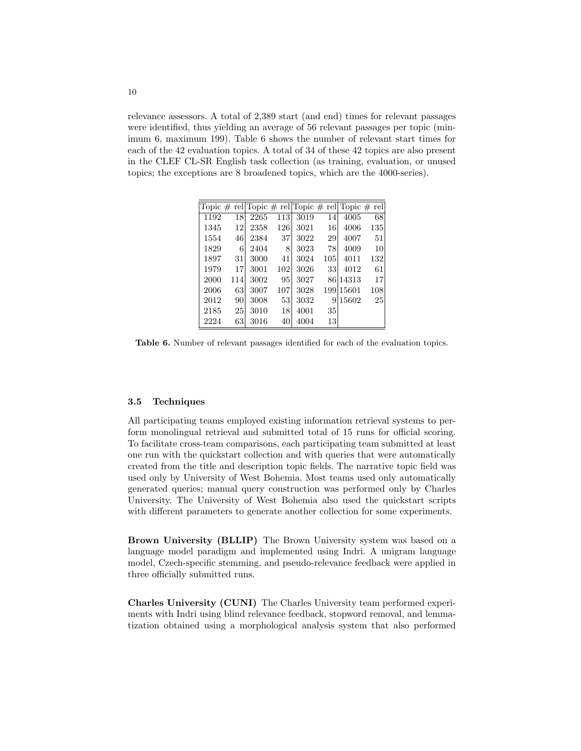relevance assessors. A total of 2,389 start (and end) times for relevant passages were identified, thus yielding an average of 56 relevant passages per topic (minimum 6, maximum 199). Table 6 shows the number of relevant start times for each of the 42 evaluation topics. A total of 34 of these 42 topics are also present in the CLEF CL-SR English task collection (as training, evaluation, or unused topics; the exceptions are 8 broadened topics, which are the 4000-series).

|      |     |      |     |      |     | Topic # rel Topic # rel Topic # rel Topic # rel |     |
|------|-----|------|-----|------|-----|-------------------------------------------------|-----|
| 1192 | 18  | 2265 | 113 | 3019 | 14  | 4005                                            | 68  |
| 1345 | 12  | 2358 | 126 | 3021 | 16  | 4006                                            | 135 |
| 1554 | 46  | 2384 | 37  | 3022 | 29  | 4007                                            | 51  |
| 1829 | 6   | 2404 | 8   | 3023 | 78  | 4009                                            | 10  |
| 1897 | 31  | 3000 | 41  | 3024 | 105 | 4011                                            | 132 |
| 1979 | 17  | 3001 | 102 | 3026 | 33  | 4012                                            | 61  |
| 2000 | 114 | 3002 | 95  | 3027 |     | 86 143 13                                       | 17  |
| 2006 | 63  | 3007 | 107 | 3028 |     | 199 15601                                       | 108 |
| 2012 | 901 | 3008 | 53  | 3032 | 9   | 15602                                           | 25  |
| 2185 | 25  | 3010 | 18  | 4001 | 35  |                                                 |     |
| 2224 | 63  | 3016 | 40  | 4004 | 13  |                                                 |     |

Table 6. Number of relevant passages identified for each of the evaluation topics.

#### 3.5 Techniques

All participating teams employed existing information retrieval systems to perform monolingual retrieval and submitted total of 15 runs for official scoring. To facilitate cross-team comparisons, each participating team submitted at least one run with the quickstart collection and with queries that were automatically created from the title and description topic fields. The narrative topic field was used only by University of West Bohemia. Most teams used only automatically generated queries; manual query construction was performed only by Charles University. The University of West Bohemia also used the quickstart scripts with different parameters to generate another collection for some experiments.

Brown University (BLLIP) The Brown University system was based on a language model paradigm and implemented using Indri. A unigram language model, Czech-specific stemming, and pseudo-relevance feedback were applied in three officially submitted runs.

Charles University (CUNI) The Charles University team performed experiments with Indri using blind relevance feedback, stopword removal, and lemmatization obtained using a morphological analysis system that also performed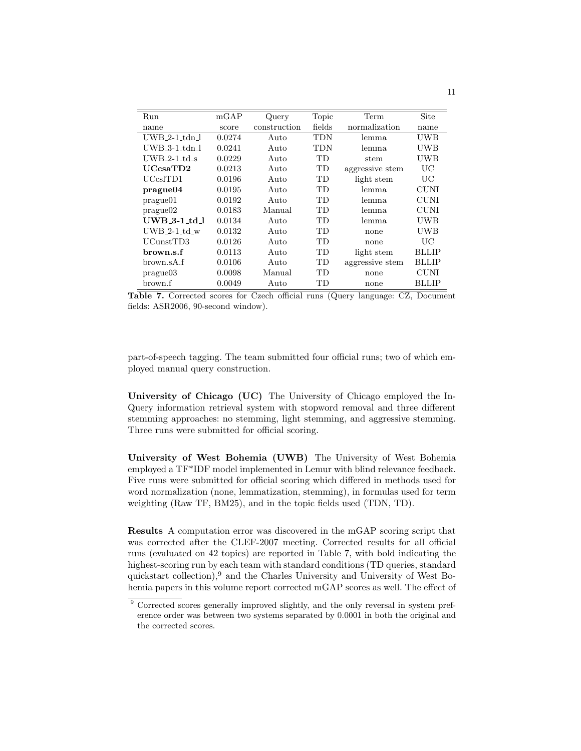| Run             | mGAP   | Query        | Topic  | Term            | Site        |
|-----------------|--------|--------------|--------|-----------------|-------------|
| name            | score  | construction | fields | normalization   | name        |
| $UWB_2-1_tdn_l$ | 0.0274 | Auto         | TDN    | lemma           | UWB         |
| $UWB_3-1_tdn_l$ | 0.0241 | Auto         | TDN    | lemma.          | UWB         |
| $UWB_2-1\_td_s$ | 0.0229 | Auto         | TD     | stem            | <b>UWB</b>  |
| UCcsaTD2        | 0.0213 | Auto         | TD     | aggressive stem | UC          |
| UCcslTD1        | 0.0196 | Auto         | TD     | light stem      | UС          |
| prague04        | 0.0195 | Auto         | TD     | lemma           | <b>CUNI</b> |
| prague 01       | 0.0192 | Auto         | TD     | lemma           | <b>CUNI</b> |
| prague02        | 0.0183 | Manual       | TD     | lemma           | CUNI        |
| UWB 3-1 td 1    | 0.0134 | Auto         | TD     | lemma           | UWB         |
| $UWB_2-1_t d_w$ | 0.0132 | Auto         | TD     | none            | UWB         |
| UCunstTD3       | 0.0126 | Auto         | TD     | none            | UС          |
| brown.s.f       | 0.0113 | Auto         | TD     | light stem      | BLLIP       |
| brown.sA.f      | 0.0106 | Auto         | TD     | aggressive stem | BLLIP       |
| prague 03       | 0.0098 | Manual       | TD     | none            | <b>CUNI</b> |
| brown.f         | 0.0049 | Auto         | TD     | none            | BLLIP       |

Table 7. Corrected scores for Czech official runs (Query language: CZ, Document fields: ASR2006, 90-second window).

part-of-speech tagging. The team submitted four official runs; two of which employed manual query construction.

University of Chicago (UC) The University of Chicago employed the In-Query information retrieval system with stopword removal and three different stemming approaches: no stemming, light stemming, and aggressive stemming. Three runs were submitted for official scoring.

University of West Bohemia (UWB) The University of West Bohemia employed a TF\*IDF model implemented in Lemur with blind relevance feedback. Five runs were submitted for official scoring which differed in methods used for word normalization (none, lemmatization, stemming), in formulas used for term weighting (Raw TF, BM25), and in the topic fields used (TDN, TD).

Results A computation error was discovered in the mGAP scoring script that was corrected after the CLEF-2007 meeting. Corrected results for all official runs (evaluated on 42 topics) are reported in Table 7, with bold indicating the highest-scoring run by each team with standard conditions (TD queries, standard quickstart collection),<sup>9</sup> and the Charles University and University of West Bohemia papers in this volume report corrected mGAP scores as well. The effect of

<sup>&</sup>lt;sup>9</sup> Corrected scores generally improved slightly, and the only reversal in system preference order was between two systems separated by 0.0001 in both the original and the corrected scores.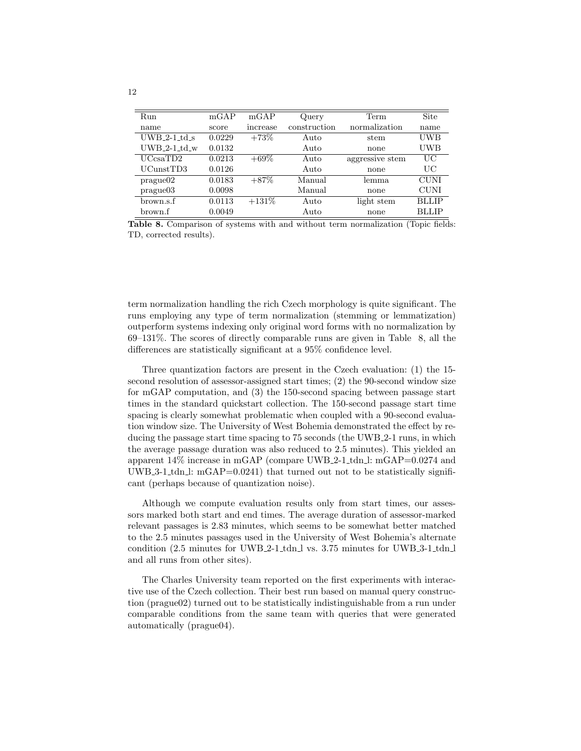| Run             | mGAP   | mGAP     | Query        | Term            | Site         |
|-----------------|--------|----------|--------------|-----------------|--------------|
| name            | score  | increase | construction | normalization   | name         |
| $UWB_2-1_t d_s$ | 0.0229 | $+73%$   | Auto         | stem            | UWB          |
| $UWB_2-1_t d_w$ | 0.0132 |          | Auto         | none            | <b>UWB</b>   |
| UCcsaTD2        | 0.0213 | $+69\%$  | Auto         | aggressive stem | UC           |
| UCunstTD3       | 0.0126 |          | Auto         | none            | <b>UC</b>    |
| prague02        | 0.0183 | $+87\%$  | Manual       | lemma.          | <b>CUNI</b>  |
| prague 03       | 0.0098 |          | Manual       | none            | <b>CUNI</b>  |
| brown.s.f       | 0.0113 | $+131%$  | Auto         | light stem      | <b>BLLIP</b> |
| brown.f         | 0.0049 |          | Auto         | none            | <b>BLLIP</b> |

Table 8. Comparison of systems with and without term normalization (Topic fields: TD, corrected results).

term normalization handling the rich Czech morphology is quite significant. The runs employing any type of term normalization (stemming or lemmatization) outperform systems indexing only original word forms with no normalization by 69–131%. The scores of directly comparable runs are given in Table 8, all the differences are statistically significant at a 95% confidence level.

Three quantization factors are present in the Czech evaluation: (1) the 15 second resolution of assessor-assigned start times; (2) the 90-second window size for mGAP computation, and (3) the 150-second spacing between passage start times in the standard quickstart collection. The 150-second passage start time spacing is clearly somewhat problematic when coupled with a 90-second evaluation window size. The University of West Bohemia demonstrated the effect by reducing the passage start time spacing to 75 seconds (the UWB 2-1 runs, in which the average passage duration was also reduced to 2.5 minutes). This yielded an apparent  $14\%$  increase in mGAP (compare UWB 2-1 tdn l: mGAP=0.0274 and UWB  $-3-1$  tdn  $\pm$ : mGAP=0.0241) that turned out not to be statistically significant (perhaps because of quantization noise).

Although we compute evaluation results only from start times, our assessors marked both start and end times. The average duration of assessor-marked relevant passages is 2.83 minutes, which seems to be somewhat better matched to the 2.5 minutes passages used in the University of West Bohemia's alternate condition  $(2.5 \text{ minutes for UWB}.2-1 \text{tdn}.\text{d} \text{ vs. } 3.75 \text{ minutes for UWB}.3-1 \text{tdn}.\text{d} \text{ }$ and all runs from other sites).

The Charles University team reported on the first experiments with interactive use of the Czech collection. Their best run based on manual query construction (prague02) turned out to be statistically indistinguishable from a run under comparable conditions from the same team with queries that were generated automatically (prague04).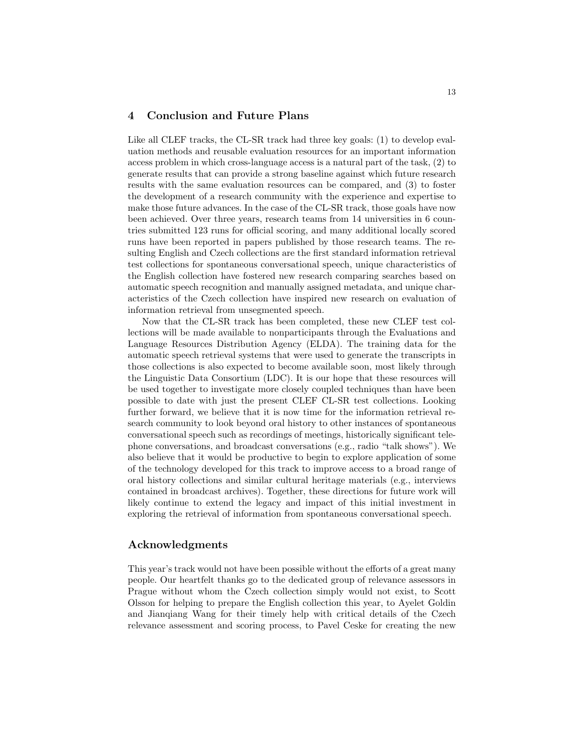## 4 Conclusion and Future Plans

Like all CLEF tracks, the CL-SR track had three key goals: (1) to develop evaluation methods and reusable evaluation resources for an important information access problem in which cross-language access is a natural part of the task, (2) to generate results that can provide a strong baseline against which future research results with the same evaluation resources can be compared, and (3) to foster the development of a research community with the experience and expertise to make those future advances. In the case of the CL-SR track, those goals have now been achieved. Over three years, research teams from 14 universities in 6 countries submitted 123 runs for official scoring, and many additional locally scored runs have been reported in papers published by those research teams. The resulting English and Czech collections are the first standard information retrieval test collections for spontaneous conversational speech, unique characteristics of the English collection have fostered new research comparing searches based on automatic speech recognition and manually assigned metadata, and unique characteristics of the Czech collection have inspired new research on evaluation of information retrieval from unsegmented speech.

Now that the CL-SR track has been completed, these new CLEF test collections will be made available to nonparticipants through the Evaluations and Language Resources Distribution Agency (ELDA). The training data for the automatic speech retrieval systems that were used to generate the transcripts in those collections is also expected to become available soon, most likely through the Linguistic Data Consortium (LDC). It is our hope that these resources will be used together to investigate more closely coupled techniques than have been possible to date with just the present CLEF CL-SR test collections. Looking further forward, we believe that it is now time for the information retrieval research community to look beyond oral history to other instances of spontaneous conversational speech such as recordings of meetings, historically significant telephone conversations, and broadcast conversations (e.g., radio "talk shows"). We also believe that it would be productive to begin to explore application of some of the technology developed for this track to improve access to a broad range of oral history collections and similar cultural heritage materials (e.g., interviews contained in broadcast archives). Together, these directions for future work will likely continue to extend the legacy and impact of this initial investment in exploring the retrieval of information from spontaneous conversational speech.

## Acknowledgments

This year's track would not have been possible without the efforts of a great many people. Our heartfelt thanks go to the dedicated group of relevance assessors in Prague without whom the Czech collection simply would not exist, to Scott Olsson for helping to prepare the English collection this year, to Ayelet Goldin and Jianqiang Wang for their timely help with critical details of the Czech relevance assessment and scoring process, to Pavel Ceske for creating the new